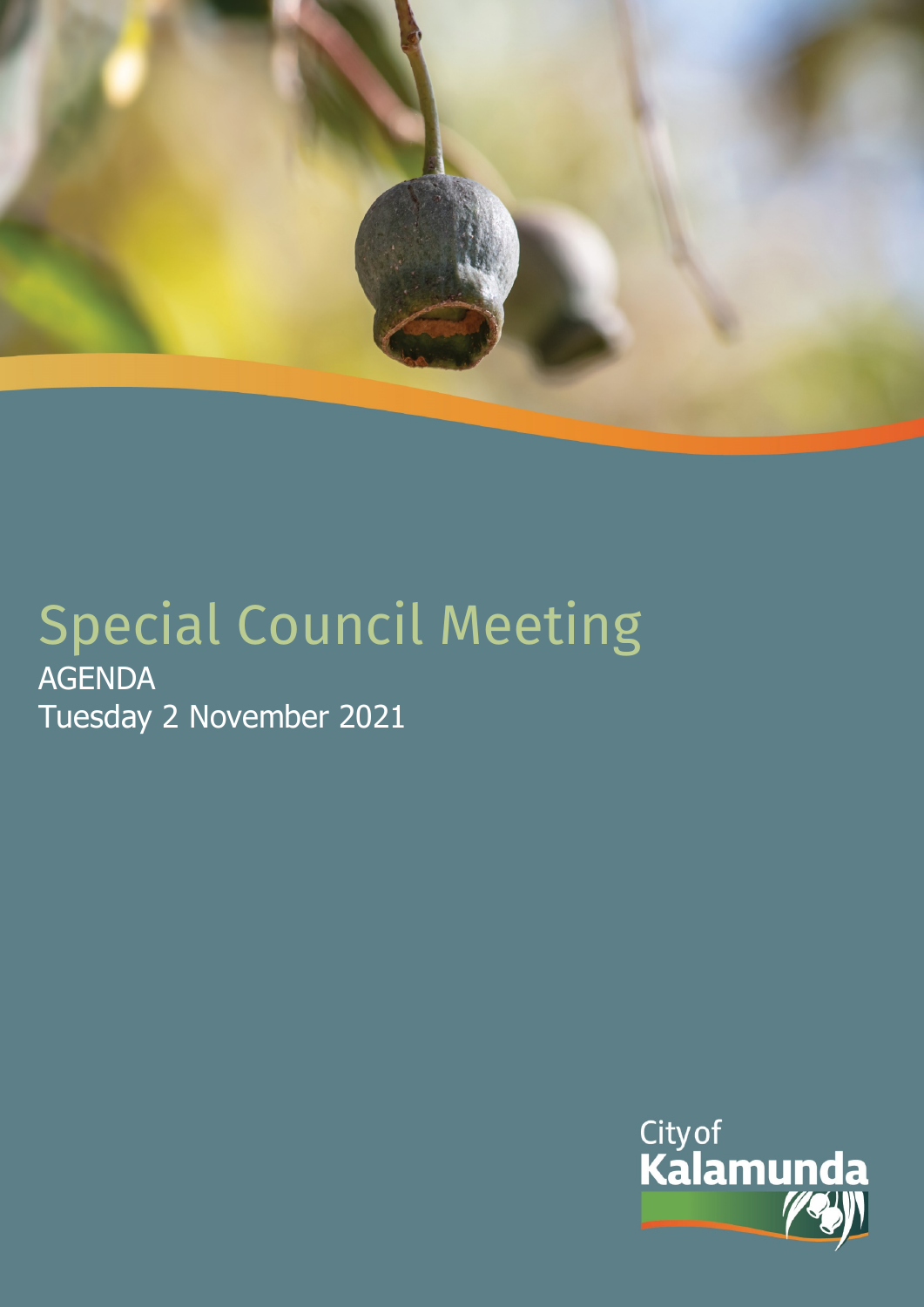

# Special Council Meeting AGENDA Tuesday 2 November 2021

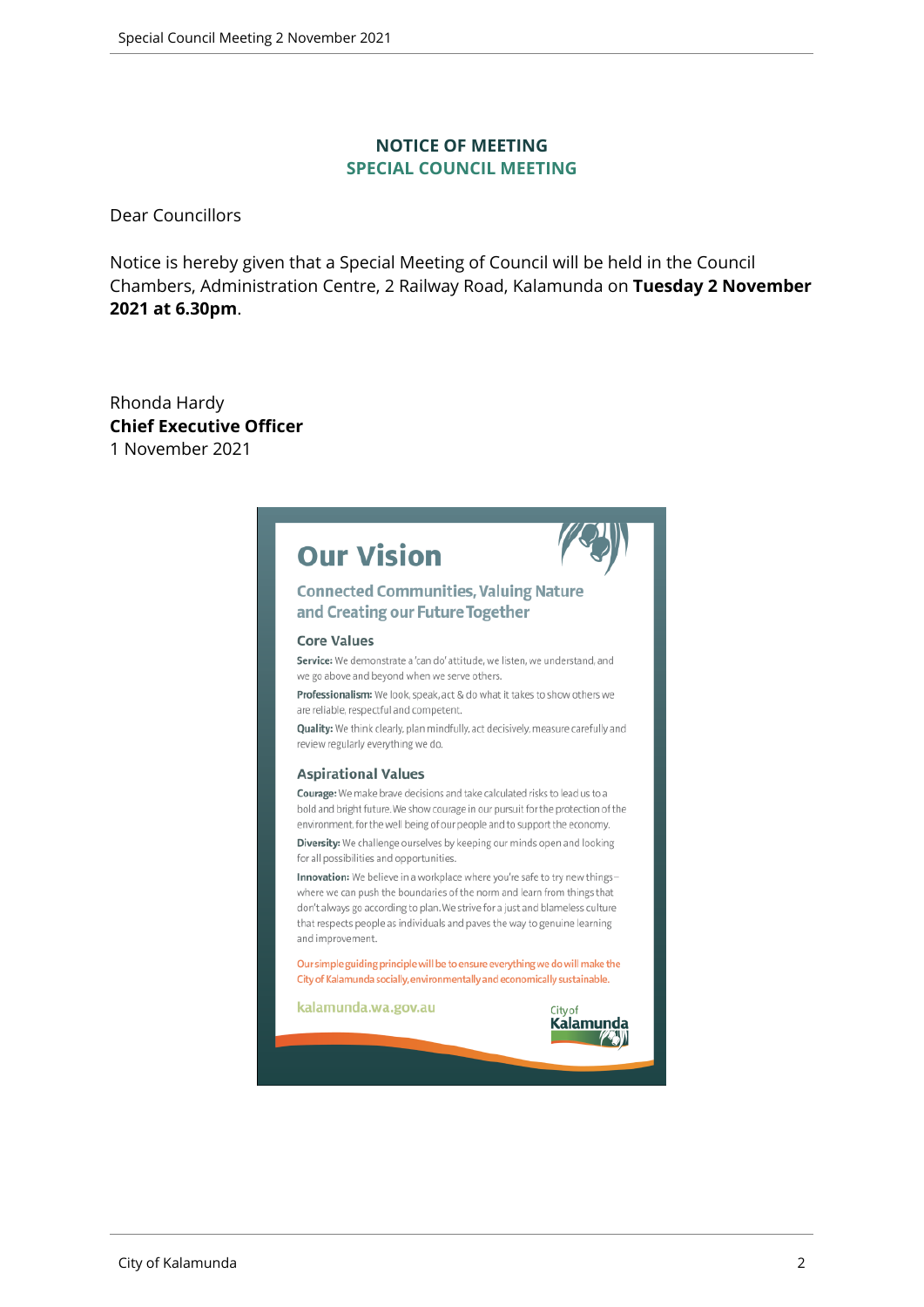#### **NOTICE OF MEETING SPECIAL COUNCIL MEETING**

Dear Councillors

Notice is hereby given that a Special Meeting of Council will be held in the Council Chambers, Administration Centre, 2 Railway Road, Kalamunda on **Tuesday 2 November 2021 at 6.30pm**.

Rhonda Hardy **Chief Executive Officer** 1 November 2021

|  | <b>Our Vision</b> |
|--|-------------------|
|--|-------------------|



#### **Connected Communities, Valuing Nature** and Creating our Future Together

#### **Core Values**

Service: We demonstrate a 'can do' attitude, we listen, we understand, and we go above and beyond when we serve others.

Professionalism: We look, speak, act & do what it takes to show others we are reliable, respectful and competent.

Quality: We think clearly, plan mindfully, act decisively, measure carefully and review regularly everything we do.

#### **Aspirational Values**

Courage: We make brave decisions and take calculated risks to lead us to a bold and bright future. We show courage in our pursuit for the protection of the environment, for the well being of our people and to support the economy.

Diversity: We challenge ourselves by keeping our minds open and looking for all possibilities and opportunities.

Innovation: We believe in a workplace where you're safe to try new thingswhere we can push the boundaries of the norm and learn from things that don't always go according to plan. We strive for a just and blameless culture that respects people as individuals and paves the way to genuine learning and improvement.

Our simple guiding principle will be to ensure everything we do will make the City of Kalamunda socially, environmentally and economically sustainable.

kalamunda.wa.gov.au

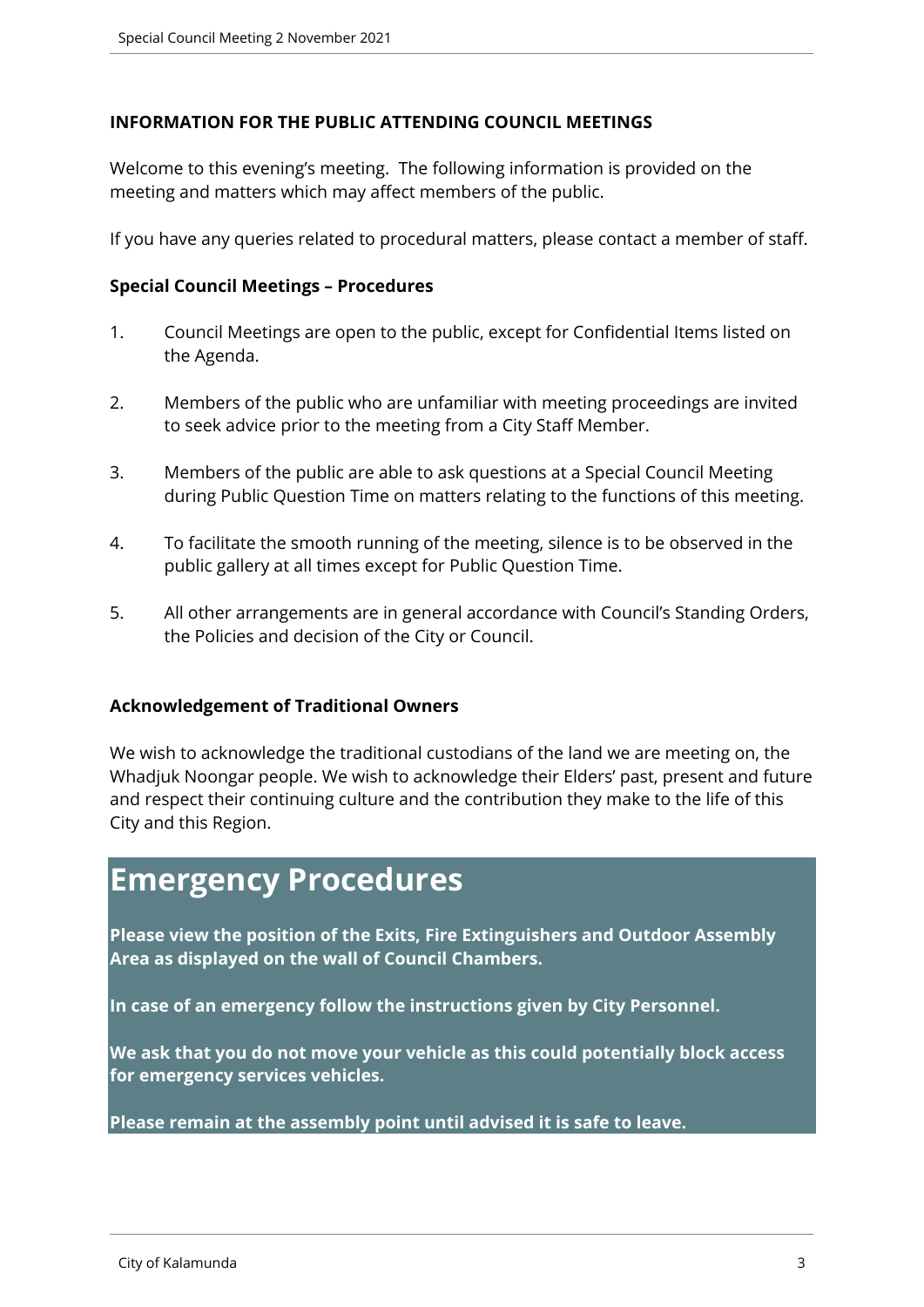#### **INFORMATION FOR THE PUBLIC ATTENDING COUNCIL MEETINGS**

Welcome to this evening's meeting. The following information is provided on the meeting and matters which may affect members of the public.

If you have any queries related to procedural matters, please contact a member of staff.

#### **Special Council Meetings – Procedures**

- 1. Council Meetings are open to the public, except for Confidential Items listed on the Agenda.
- 2. Members of the public who are unfamiliar with meeting proceedings are invited to seek advice prior to the meeting from a City Staff Member.
- 3. Members of the public are able to ask questions at a Special Council Meeting during Public Question Time on matters relating to the functions of this meeting.
- 4. To facilitate the smooth running of the meeting, silence is to be observed in the public gallery at all times except for Public Question Time.
- 5. All other arrangements are in general accordance with Council's Standing Orders, the Policies and decision of the City or Council.

#### **Acknowledgement of Traditional Owners**

We wish to acknowledge the traditional custodians of the land we are meeting on, the Whadjuk Noongar people. We wish to acknowledge their Elders' past, present and future and respect their continuing culture and the contribution they make to the life of this City and this Region.

# **Emergency Procedures**

**Please view the position of the Exits, Fire Extinguishers and Outdoor Assembly Area as displayed on the wall of Council Chambers.**

**In case of an emergency follow the instructions given by City Personnel.** 

**We ask that you do not move your vehicle as this could potentially block access for emergency services vehicles.** 

**Please remain at the assembly point until advised it is safe to leave.**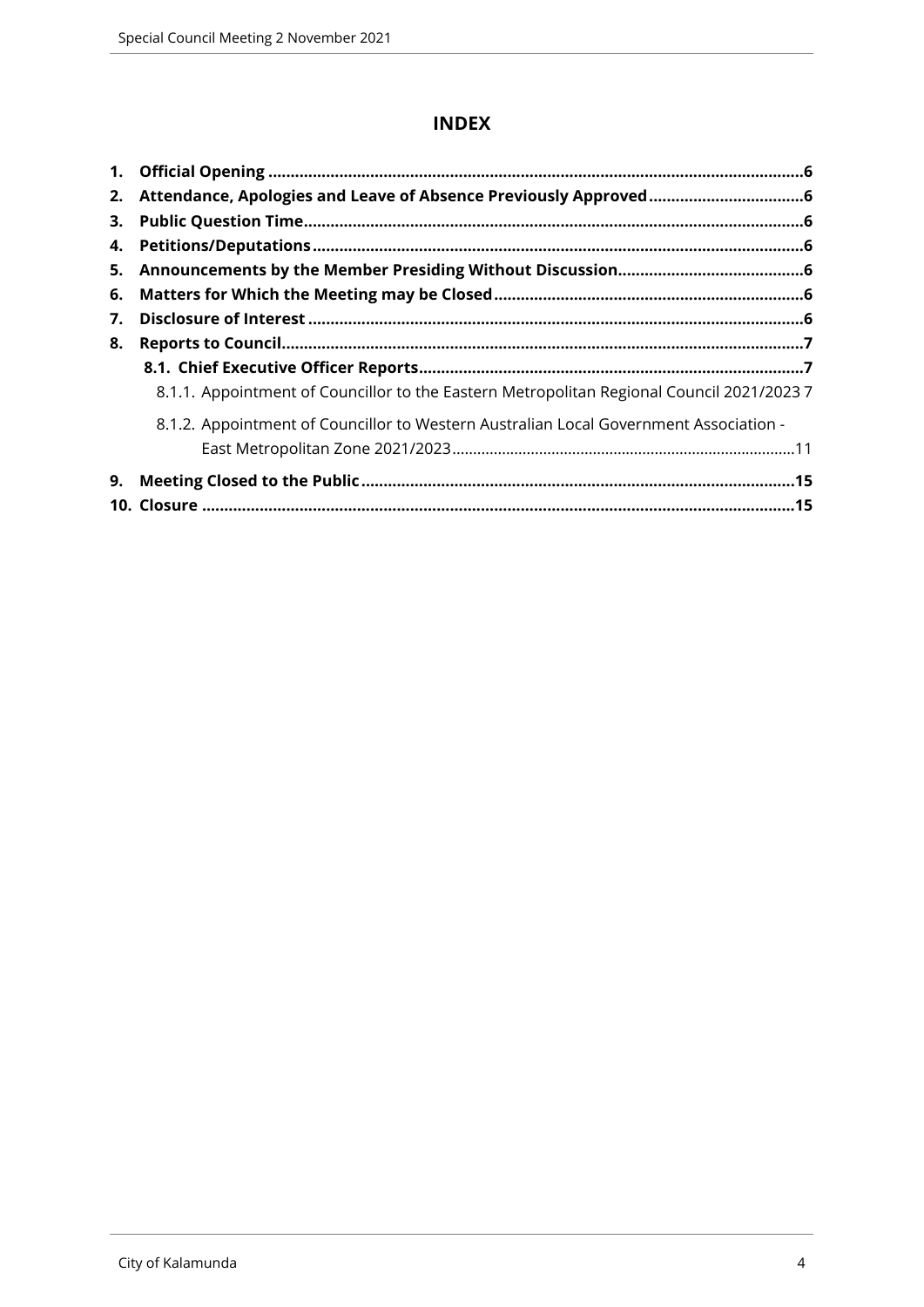## **INDEX**

| 2. |                                                                                           |  |
|----|-------------------------------------------------------------------------------------------|--|
| 3. |                                                                                           |  |
| 4. |                                                                                           |  |
|    |                                                                                           |  |
| 6. |                                                                                           |  |
| 7. |                                                                                           |  |
| 8. |                                                                                           |  |
|    |                                                                                           |  |
|    | 8.1.1. Appointment of Councillor to the Eastern Metropolitan Regional Council 2021/2023 7 |  |
|    | 8.1.2. Appointment of Councillor to Western Australian Local Government Association -     |  |
|    |                                                                                           |  |
| 9. |                                                                                           |  |
|    |                                                                                           |  |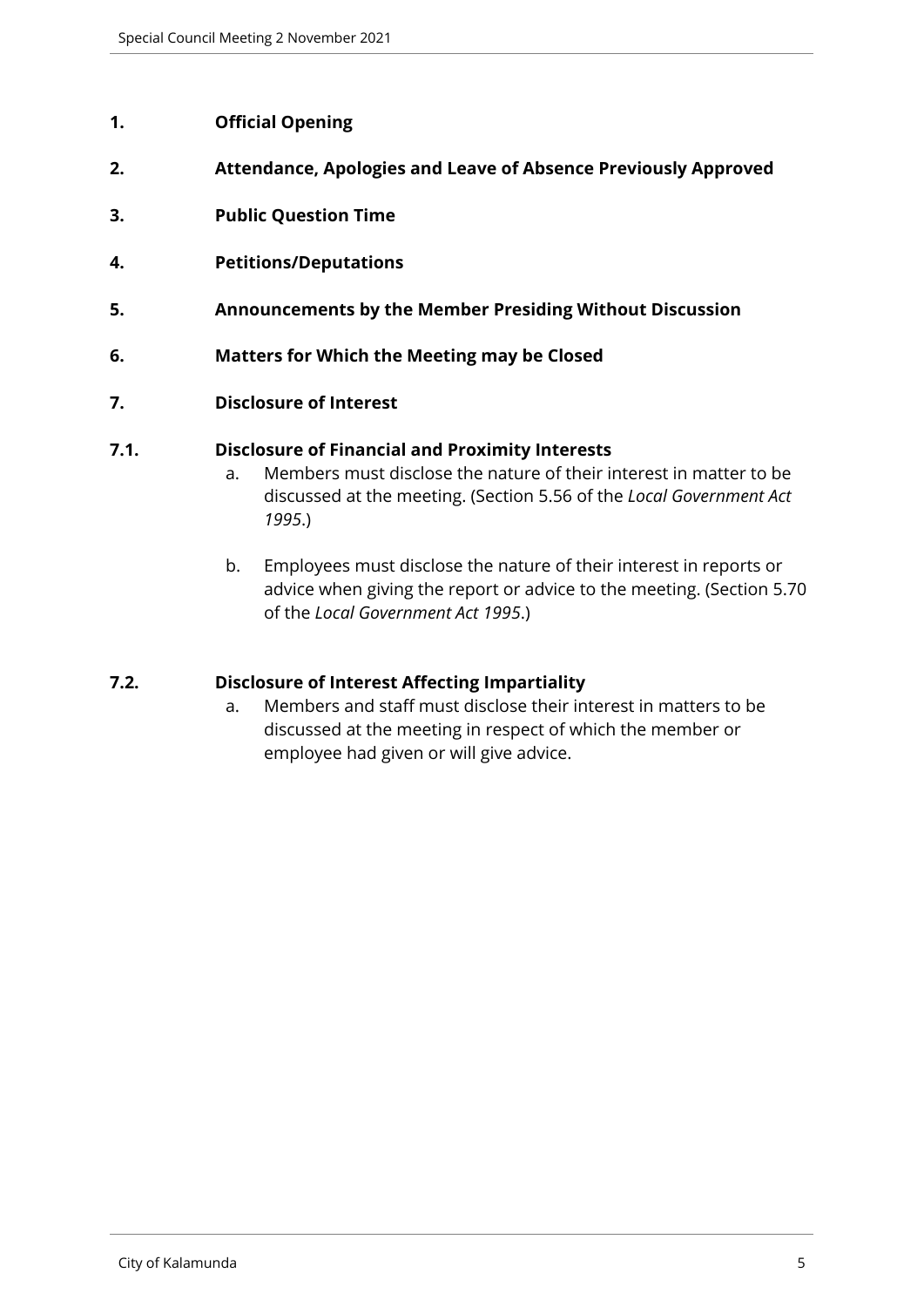#### <span id="page-4-0"></span>**1. Official Opening**

- <span id="page-4-1"></span>**2. Attendance, Apologies and Leave of Absence Previously Approved**
- <span id="page-4-2"></span>**3. Public Question Time**
- <span id="page-4-3"></span>**4. Petitions/Deputations**
- <span id="page-4-4"></span>**5. Announcements by the Member Presiding Without Discussion**
- <span id="page-4-5"></span>**6. Matters for Which the Meeting may be Closed**
- <span id="page-4-6"></span>**7. Disclosure of Interest**

#### **7.1. Disclosure of Financial and Proximity Interests**

- a. Members must disclose the nature of their interest in matter to be discussed at the meeting. (Section 5.56 of the *Local Government Act 1995*.)
- b. Employees must disclose the nature of their interest in reports or advice when giving the report or advice to the meeting. (Section 5.70 of the *Local Government Act 1995*.)

#### **7.2. Disclosure of Interest Affecting Impartiality**

a. Members and staff must disclose their interest in matters to be discussed at the meeting in respect of which the member or employee had given or will give advice.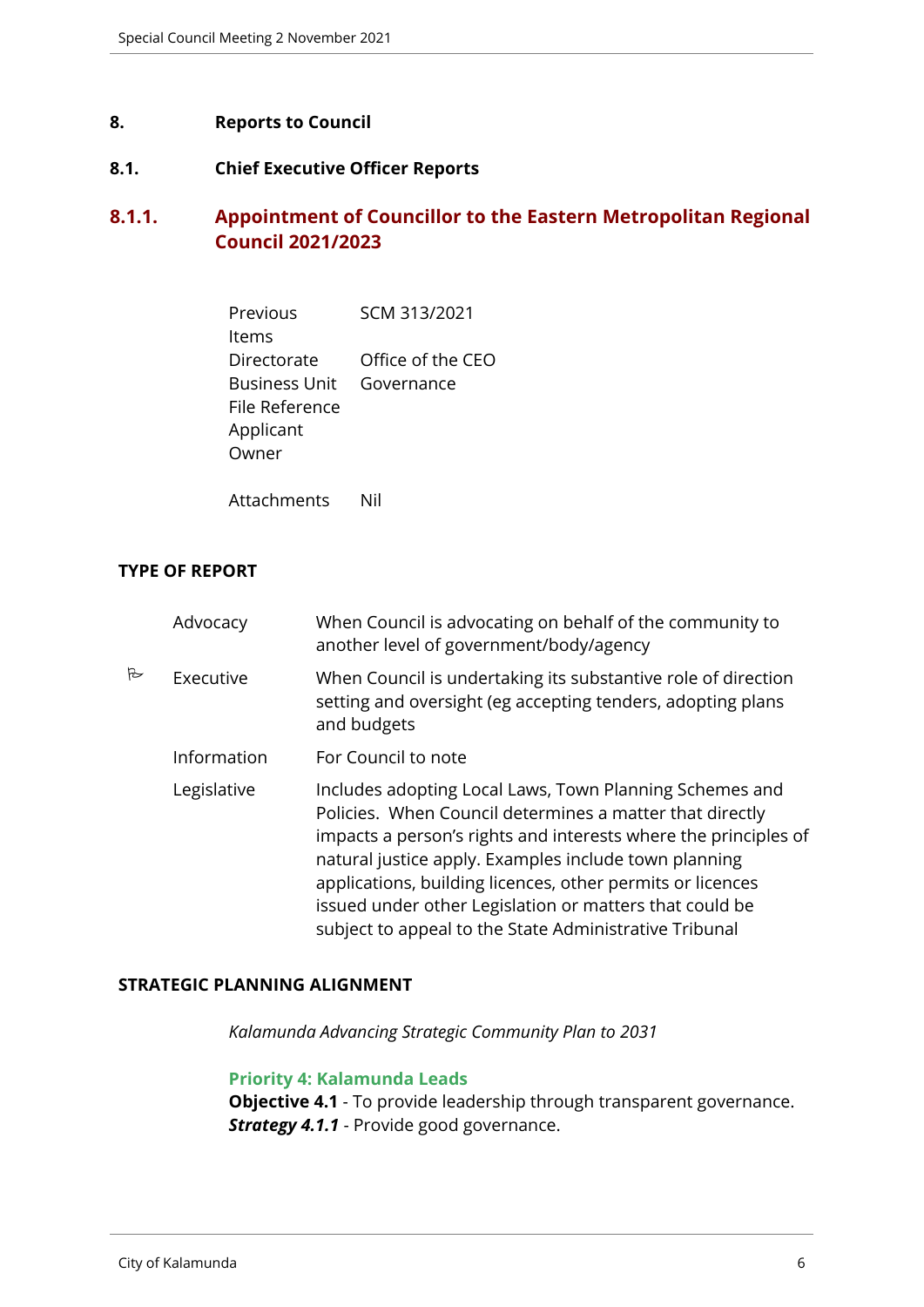#### <span id="page-5-0"></span>**8. Reports to Council**

#### <span id="page-5-1"></span>**8.1. Chief Executive Officer Reports**

# <span id="page-5-2"></span>**8.1.1. Appointment of Councillor to the Eastern Metropolitan Regional Council 2021/2023**

| Previous             | SCM 313/2021      |
|----------------------|-------------------|
| ltems                |                   |
| Directorate          | Office of the CEO |
| <b>Business Unit</b> | Governance        |
| File Reference       |                   |
| Applicant            |                   |
| Owner                |                   |
|                      |                   |

Attachments Nil

#### **TYPE OF REPORT**

|   | Advocacy    | When Council is advocating on behalf of the community to<br>another level of government/body/agency                                                                                                                                                                                                                                                                                                                                |
|---|-------------|------------------------------------------------------------------------------------------------------------------------------------------------------------------------------------------------------------------------------------------------------------------------------------------------------------------------------------------------------------------------------------------------------------------------------------|
| B | Executive   | When Council is undertaking its substantive role of direction<br>setting and oversight (eg accepting tenders, adopting plans<br>and budgets                                                                                                                                                                                                                                                                                        |
|   | Information | For Council to note                                                                                                                                                                                                                                                                                                                                                                                                                |
|   | Legislative | Includes adopting Local Laws, Town Planning Schemes and<br>Policies. When Council determines a matter that directly<br>impacts a person's rights and interests where the principles of<br>natural justice apply. Examples include town planning<br>applications, building licences, other permits or licences<br>issued under other Legislation or matters that could be<br>subject to appeal to the State Administrative Tribunal |

#### **STRATEGIC PLANNING ALIGNMENT**

*Kalamunda Advancing Strategic Community Plan to 2031*

#### **Priority 4: Kalamunda Leads**

**Objective 4.1** - To provide leadership through transparent governance. *Strategy 4.1.1* - Provide good governance.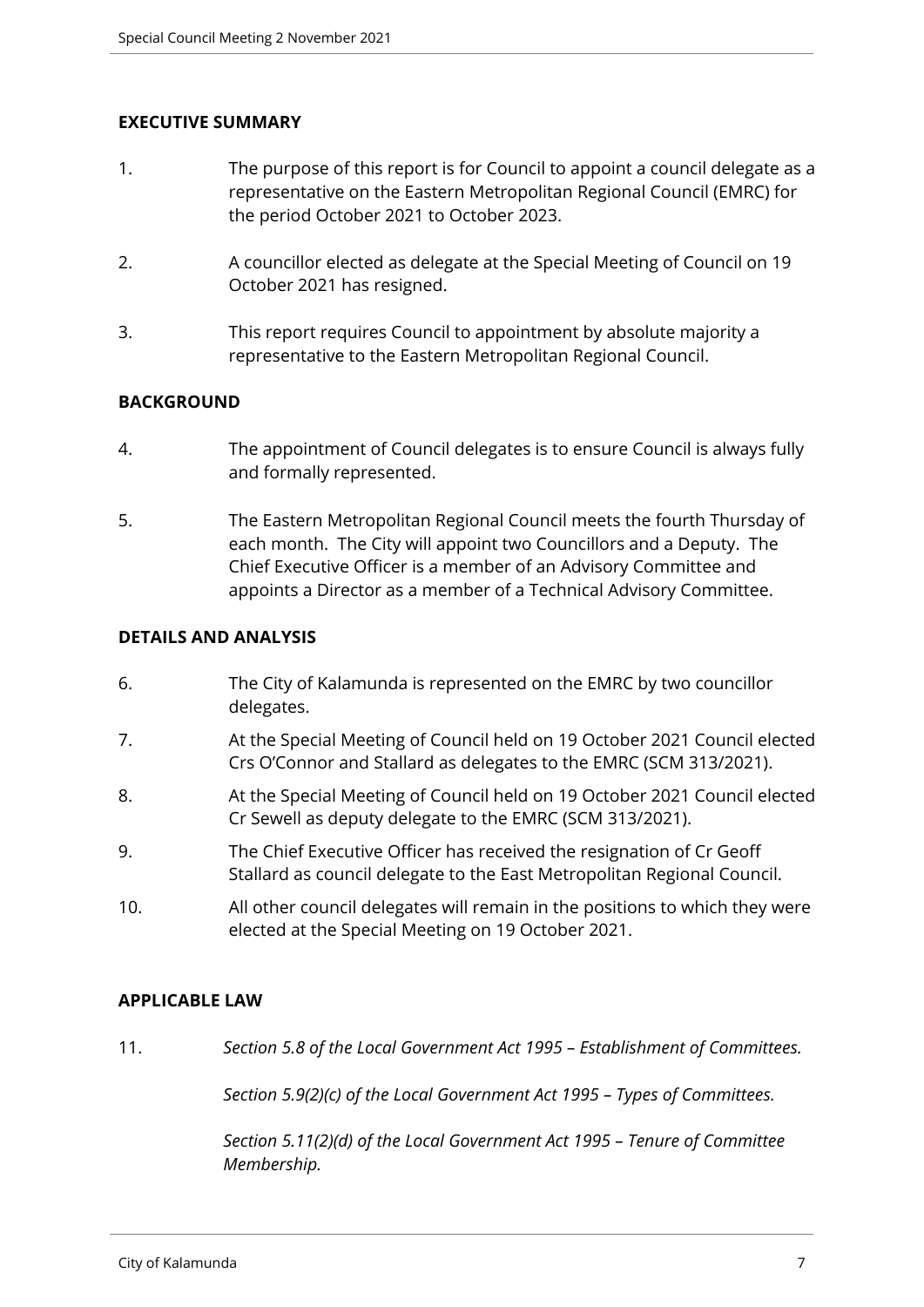#### **EXECUTIVE SUMMARY**

- 1. The purpose of this report is for Council to appoint a council delegate as a representative on the Eastern Metropolitan Regional Council (EMRC) for the period October 2021 to October 2023.
- 2. A councillor elected as delegate at the Special Meeting of Council on 19 October 2021 has resigned.
- 3. This report requires Council to appointment by absolute majority a representative to the Eastern Metropolitan Regional Council.

#### **BACKGROUND**

- 4. The appointment of Council delegates is to ensure Council is always fully and formally represented.
- 5. The Eastern Metropolitan Regional Council meets the fourth Thursday of each month. The City will appoint two Councillors and a Deputy. The Chief Executive Officer is a member of an Advisory Committee and appoints a Director as a member of a Technical Advisory Committee.

#### **DETAILS AND ANALYSIS**

- 6. The City of Kalamunda is represented on the EMRC by two councillor delegates.
- 7. At the Special Meeting of Council held on 19 October 2021 Council elected Crs O'Connor and Stallard as delegates to the EMRC (SCM 313/2021).
- 8. At the Special Meeting of Council held on 19 October 2021 Council elected Cr Sewell as deputy delegate to the EMRC (SCM 313/2021).
- 9. The Chief Executive Officer has received the resignation of Cr Geoff Stallard as council delegate to the East Metropolitan Regional Council.
- 10. All other council delegates will remain in the positions to which they were elected at the Special Meeting on 19 October 2021.

#### **APPLICABLE LAW**

11. *Section 5.8 of the Local Government Act 1995 – Establishment of Committees.*

*Section 5.9(2)(c) of the Local Government Act 1995 – Types of Committees.*

*Section 5.11(2)(d) of the Local Government Act 1995 – Tenure of Committee Membership.*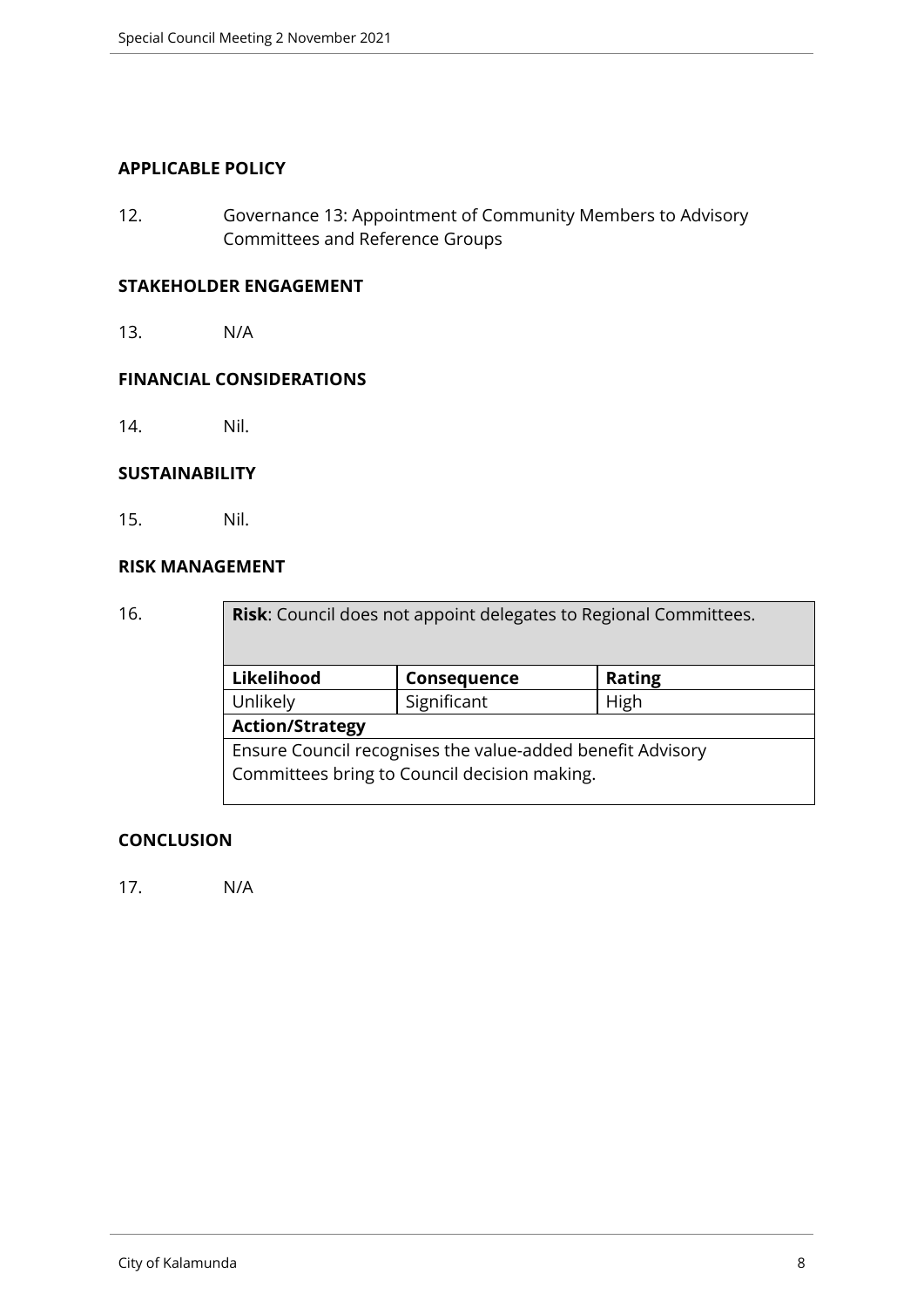#### **APPLICABLE POLICY**

12. Governance 13: Appointment of Community Members to Advisory Committees and Reference Groups

#### **STAKEHOLDER ENGAGEMENT**

13. N/A

#### **FINANCIAL CONSIDERATIONS**

14. Nil.

#### **SUSTAINABILITY**

15. Nil.

#### **RISK MANAGEMENT**

| 16. |            | <b>Risk:</b> Council does not appoint delegates to Regional Committees. |               |  |  |
|-----|------------|-------------------------------------------------------------------------|---------------|--|--|
|     | Likelihood | Consequence                                                             | <b>Rating</b> |  |  |
|     | Unlikely   | Significant                                                             | High          |  |  |
|     |            | <b>Action/Strategy</b>                                                  |               |  |  |
|     |            | Ensure Council recognises the value-added benefit Advisory              |               |  |  |
|     |            | Committees bring to Council decision making.                            |               |  |  |

#### **CONCLUSION**

17. N/A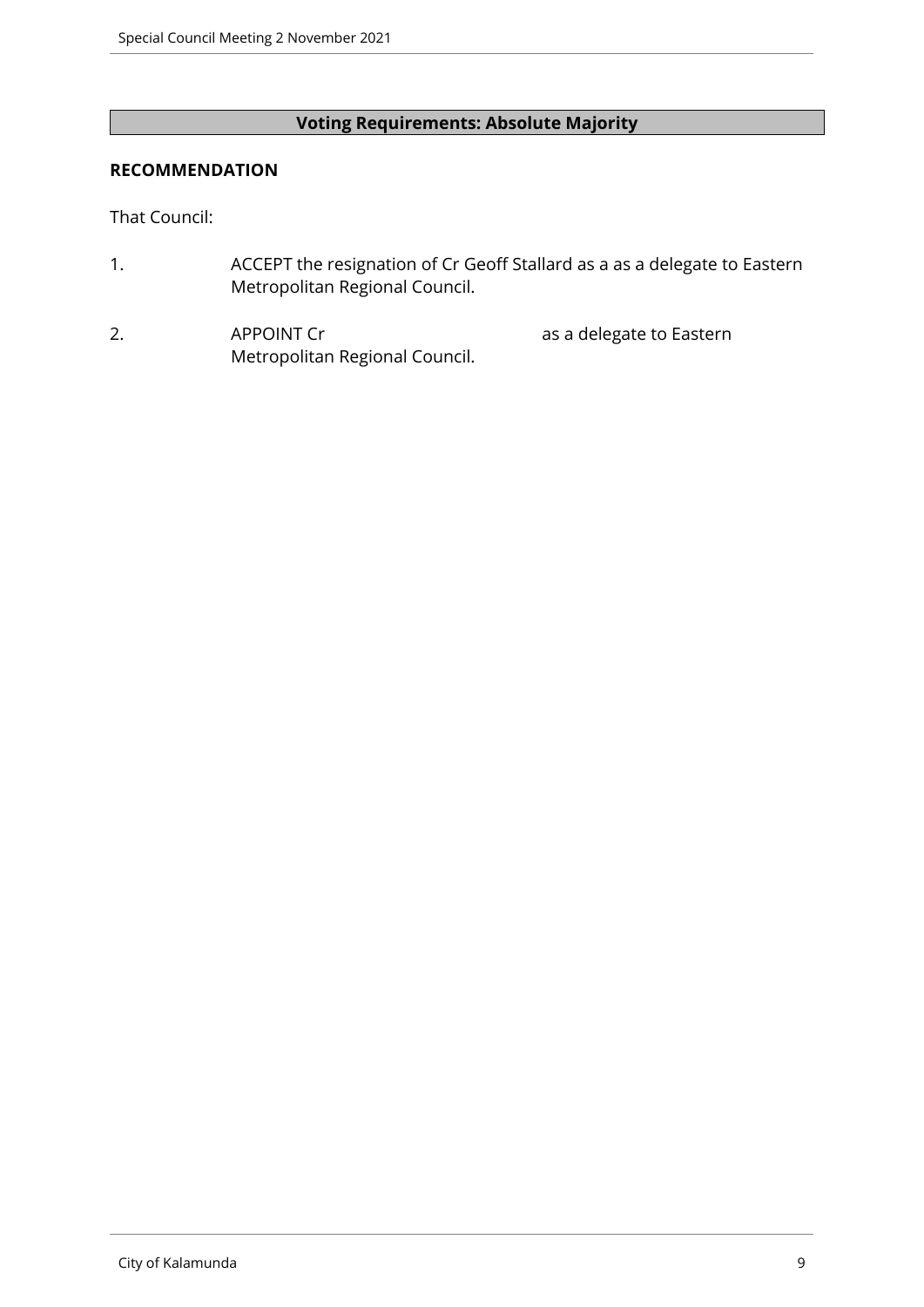## **Voting Requirements: Absolute Majority**

#### **RECOMMENDATION**

That Council:

- 1. ACCEPT the resignation of Cr Geoff Stallard as a as a delegate to Eastern Metropolitan Regional Council.
- 2. APPOINT Cr and a delegate to Eastern Metropolitan Regional Council.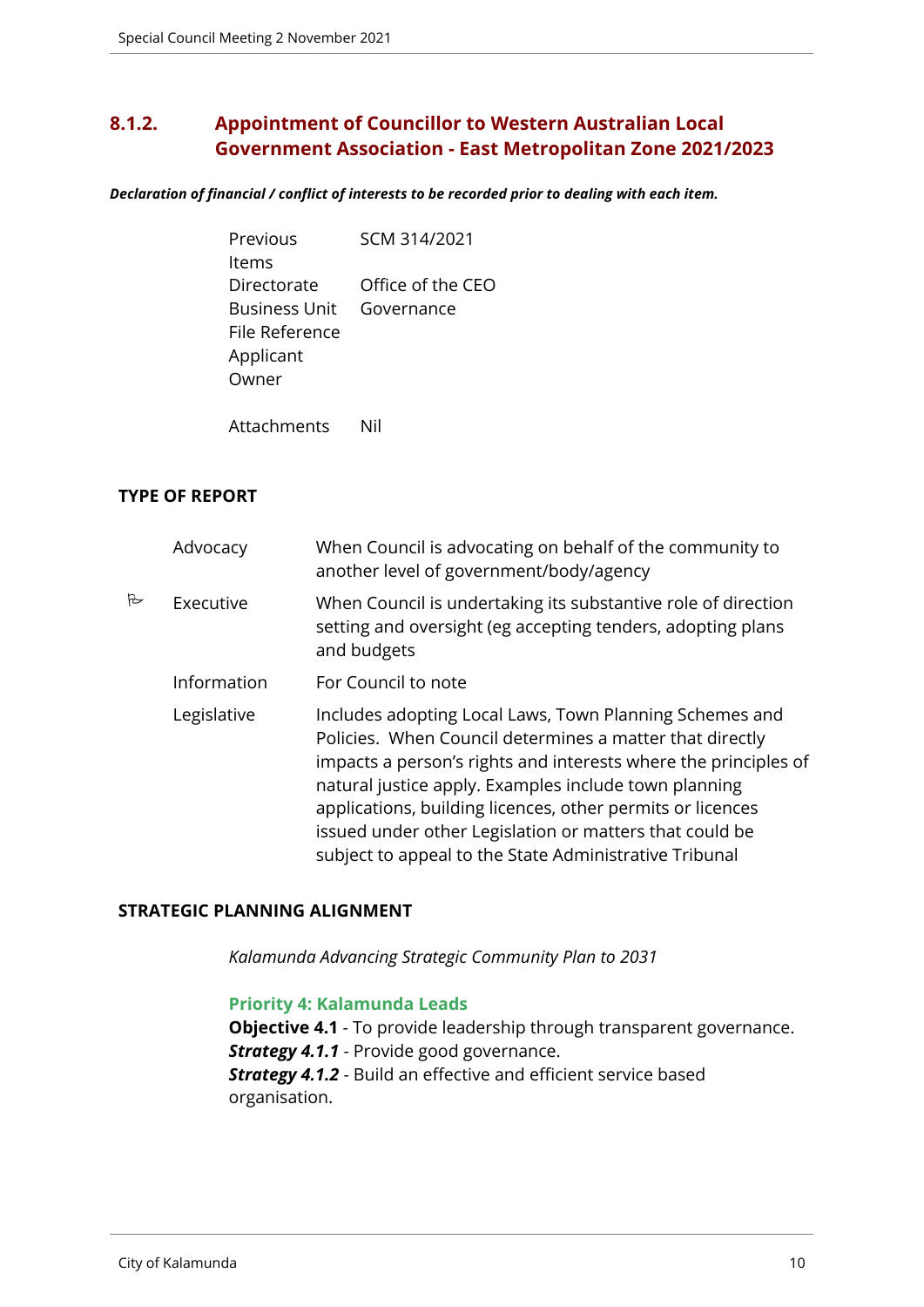# <span id="page-9-0"></span>**8.1.2. Appointment of Councillor to Western Australian Local Government Association - East Metropolitan Zone 2021/2023**

*Declaration of financial / conflict of interests to be recorded prior to dealing with each item.*

| Previous             | SCM 314/2021      |
|----------------------|-------------------|
| ltems                |                   |
| Directorate          | Office of the CEO |
| <b>Business Unit</b> | Governance        |
| File Reference       |                   |
| Applicant            |                   |
| Owner                |                   |
|                      |                   |

Attachments Nil

#### **TYPE OF REPORT**

|   | Advocacy    | When Council is advocating on behalf of the community to<br>another level of government/body/agency                                                                                                                                                                                                                                                                                                                                |
|---|-------------|------------------------------------------------------------------------------------------------------------------------------------------------------------------------------------------------------------------------------------------------------------------------------------------------------------------------------------------------------------------------------------------------------------------------------------|
| B | Executive   | When Council is undertaking its substantive role of direction<br>setting and oversight (eg accepting tenders, adopting plans<br>and budgets                                                                                                                                                                                                                                                                                        |
|   | Information | For Council to note                                                                                                                                                                                                                                                                                                                                                                                                                |
|   | Legislative | Includes adopting Local Laws, Town Planning Schemes and<br>Policies. When Council determines a matter that directly<br>impacts a person's rights and interests where the principles of<br>natural justice apply. Examples include town planning<br>applications, building licences, other permits or licences<br>issued under other Legislation or matters that could be<br>subject to appeal to the State Administrative Tribunal |

#### **STRATEGIC PLANNING ALIGNMENT**

*Kalamunda Advancing Strategic Community Plan to 2031*

#### **Priority 4: Kalamunda Leads**

**Objective 4.1** - To provide leadership through transparent governance. **Strategy 4.1.1** - Provide good governance. *Strategy 4.1.2* - Build an effective and efficient service based organisation.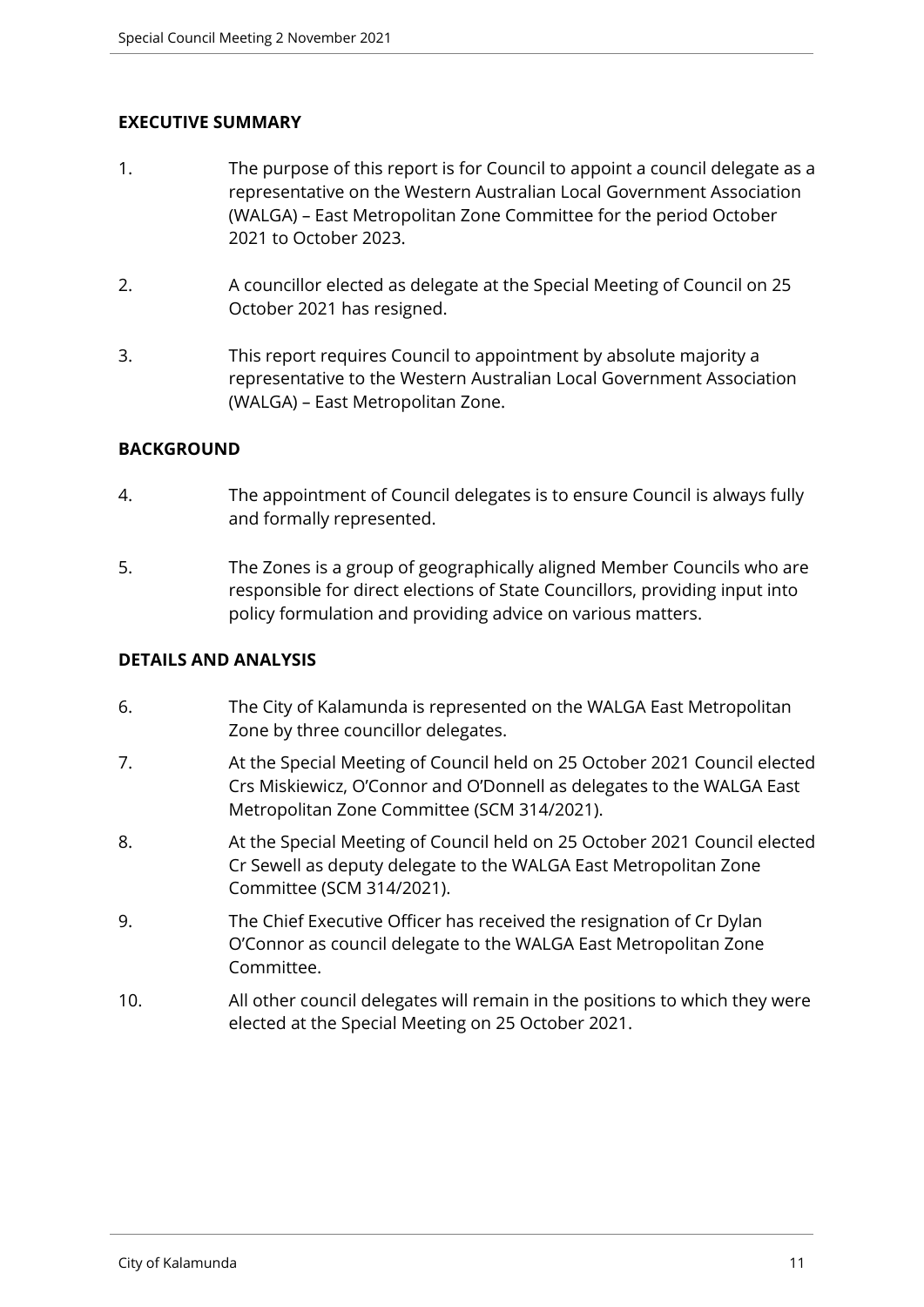#### **EXECUTIVE SUMMARY**

- 1. The purpose of this report is for Council to appoint a council delegate as a representative on the Western Australian Local Government Association (WALGA) – East Metropolitan Zone Committee for the period October 2021 to October 2023.
- 2. A councillor elected as delegate at the Special Meeting of Council on 25 October 2021 has resigned.
- 3. This report requires Council to appointment by absolute majority a representative to the Western Australian Local Government Association (WALGA) – East Metropolitan Zone.

#### **BACKGROUND**

- 4. The appointment of Council delegates is to ensure Council is always fully and formally represented.
- 5. The Zones is a group of geographically aligned Member Councils who are responsible for direct elections of State Councillors, providing input into policy formulation and providing advice on various matters.

#### **DETAILS AND ANALYSIS**

- 6. The City of Kalamunda is represented on the WALGA East Metropolitan Zone by three councillor delegates.
- 7. At the Special Meeting of Council held on 25 October 2021 Council elected Crs Miskiewicz, O'Connor and O'Donnell as delegates to the WALGA East Metropolitan Zone Committee (SCM 314/2021).
- 8. At the Special Meeting of Council held on 25 October 2021 Council elected Cr Sewell as deputy delegate to the WALGA East Metropolitan Zone Committee (SCM 314/2021).
- 9. The Chief Executive Officer has received the resignation of Cr Dylan O'Connor as council delegate to the WALGA East Metropolitan Zone Committee.
- 10. All other council delegates will remain in the positions to which they were elected at the Special Meeting on 25 October 2021.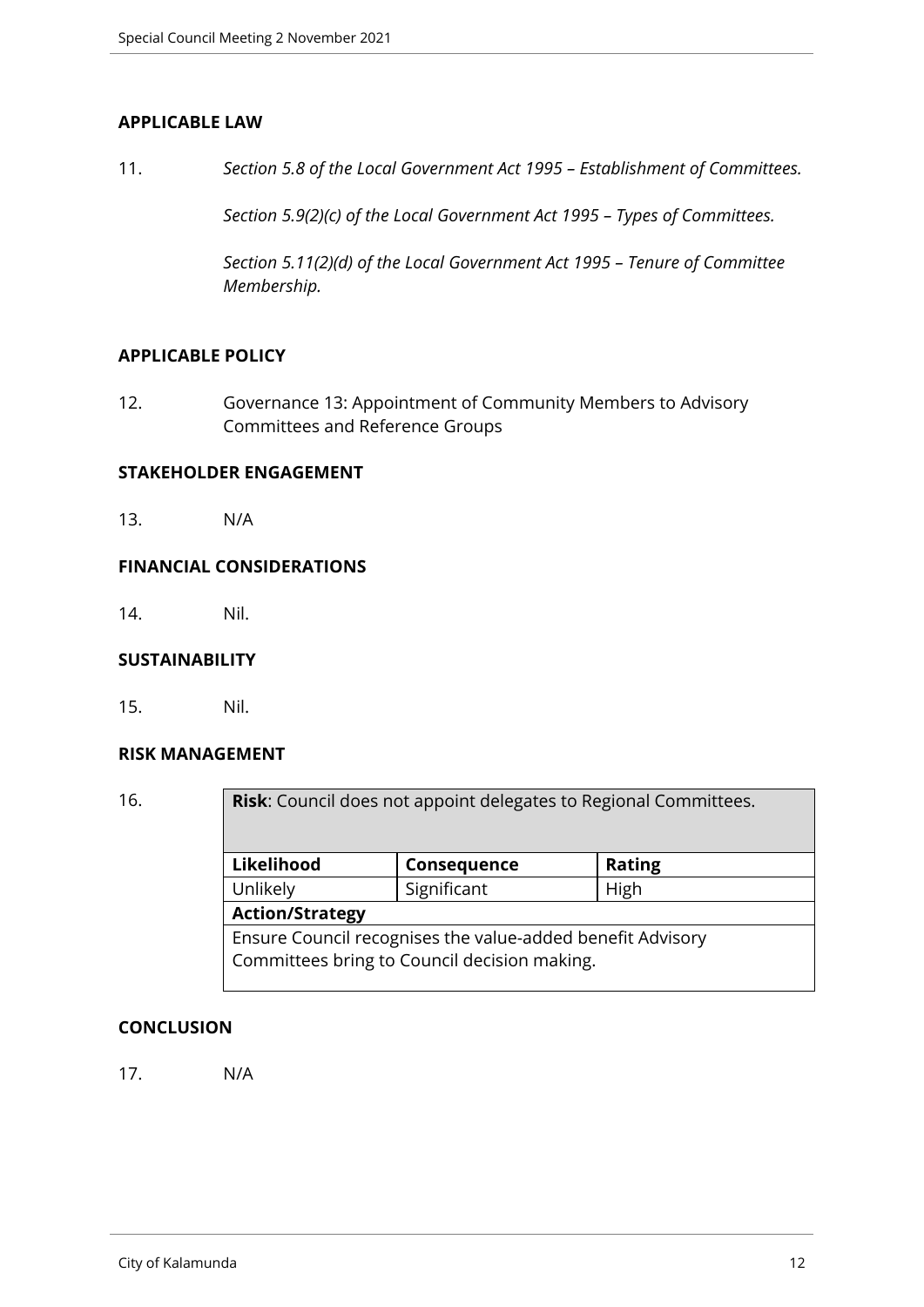#### **APPLICABLE LAW**

11. *Section 5.8 of the Local Government Act 1995 – Establishment of Committees.*

*Section 5.9(2)(c) of the Local Government Act 1995 – Types of Committees.*

*Section 5.11(2)(d) of the Local Government Act 1995 – Tenure of Committee Membership.*

#### **APPLICABLE POLICY**

12. Governance 13: Appointment of Community Members to Advisory Committees and Reference Groups

#### **STAKEHOLDER ENGAGEMENT**

13. N/A

#### **FINANCIAL CONSIDERATIONS**

14. Nil.

#### **SUSTAINABILITY**

15. Nil.

#### **RISK MANAGEMENT**

| 16. | <b>Risk:</b> Council does not appoint delegates to Regional Committees.                                    |             |               |  |
|-----|------------------------------------------------------------------------------------------------------------|-------------|---------------|--|
|     | Likelihood                                                                                                 | Consequence | <b>Rating</b> |  |
|     | Unlikely                                                                                                   | Significant | High          |  |
|     | <b>Action/Strategy</b>                                                                                     |             |               |  |
|     | Ensure Council recognises the value-added benefit Advisory<br>Committees bring to Council decision making. |             |               |  |

#### **CONCLUSION**

17. N/A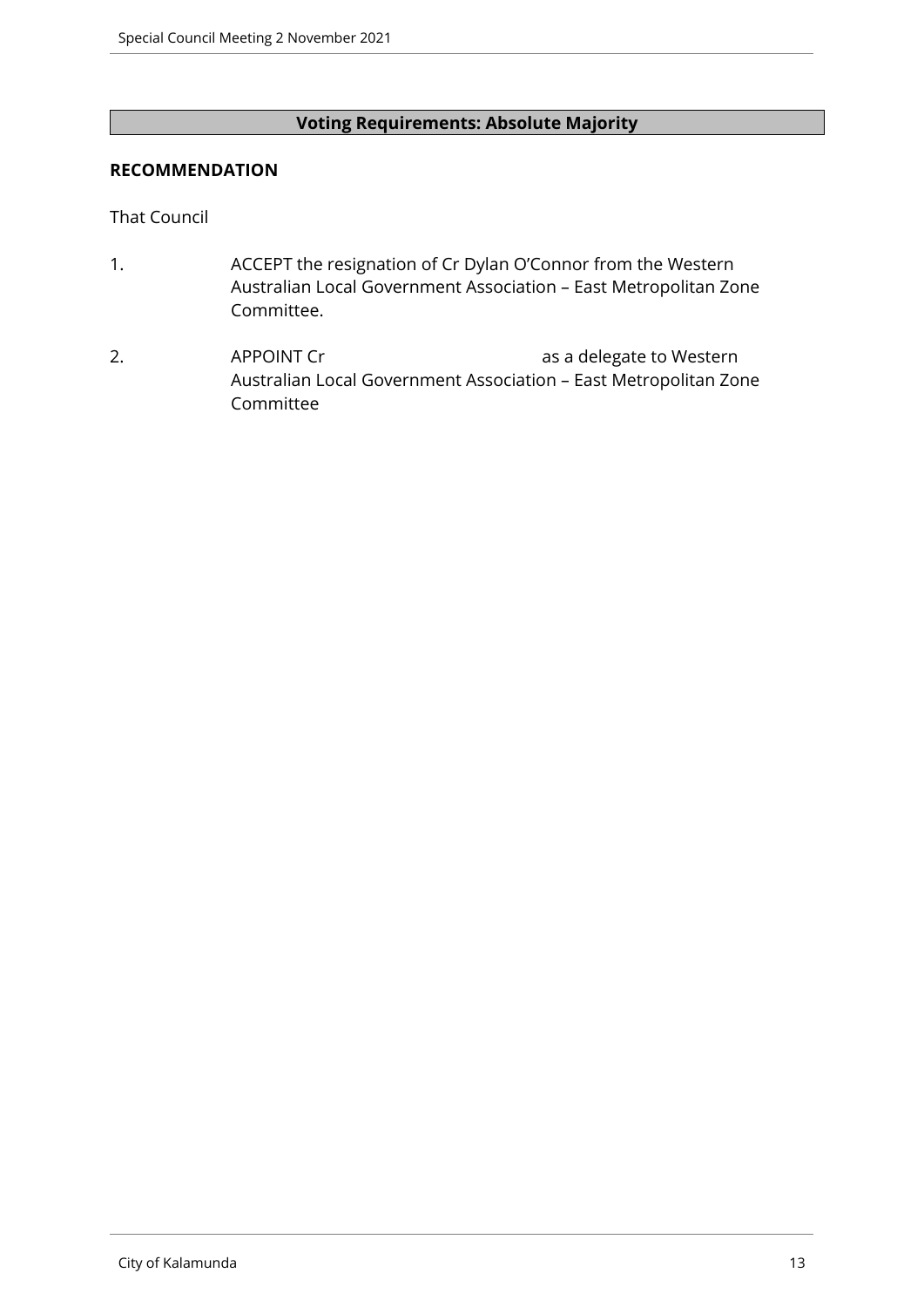#### **Voting Requirements: Absolute Majority**

#### **RECOMMENDATION**

That Council

- 1. ACCEPT the resignation of Cr Dylan O'Connor from the Western Australian Local Government Association – East Metropolitan Zone Committee.
- 2. APPOINT Cr as a delegate to Western Australian Local Government Association – East Metropolitan Zone Committee